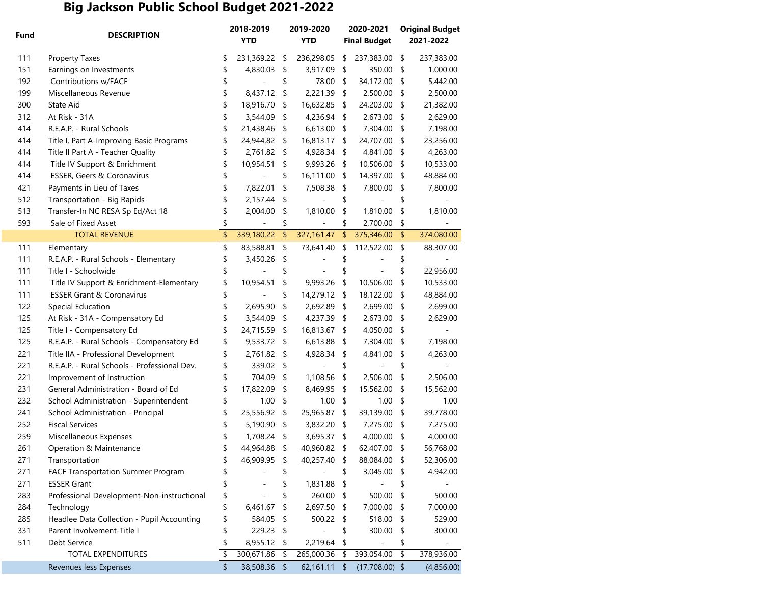## **Big Jackson Public School Budget 2021-2022**

| Fund | <b>DESCRIPTION</b>                           | 2018-2019<br><b>YTD</b> |               | 2019-2020<br><b>YTD</b> |               | 2020-2021<br><b>Final Budget</b> |      | <b>Original Budget</b><br>2021-2022 |
|------|----------------------------------------------|-------------------------|---------------|-------------------------|---------------|----------------------------------|------|-------------------------------------|
| 111  | <b>Property Taxes</b>                        | \$<br>231,369.22        | \$            | 236,298.05              | \$            | 237,383.00                       | \$   | 237,383.00                          |
| 151  | Earnings on Investments                      | \$<br>4,830.03          | \$            | 3,917.09                | \$            | 350.00                           | \$   | 1,000.00                            |
| 192  | Contributions w/FACF                         | \$                      | \$            | 78.00                   | \$            | 34,172.00                        | \$   | 5,442.00                            |
| 199  | Miscellaneous Revenue                        | \$<br>8,437.12          | \$            | 2,221.39                | \$            | 2,500.00                         | \$   | 2,500.00                            |
| 300  | State Aid                                    | \$<br>18,916.70         | \$            | 16,632.85               | \$            | 24,203.00                        | \$   | 21,382.00                           |
| 312  | At Risk - 31A                                | \$<br>3,544.09          | \$            | 4,236.94                | \$            | 2,673.00                         | \$   | 2,629.00                            |
| 414  | R.E.A.P. - Rural Schools                     | \$<br>21,438.46         | \$            | 6,613.00                | \$            | 7,304.00                         | \$   | 7,198.00                            |
| 414  | Title I, Part A-Improving Basic Programs     | \$<br>24,944.82         | \$            | 16,813.17               | \$            | 24,707.00                        | \$   | 23,256.00                           |
| 414  | Title II Part A - Teacher Quality            | \$<br>2,761.82          | \$            | 4,928.34                | \$            | 4,841.00                         | \$   | 4,263.00                            |
| 414  | Title IV Support & Enrichment                | \$<br>10,954.51         | \$            | 9,993.26                | \$            | 10,506.00                        | \$   | 10,533.00                           |
| 414  | ESSER, Geers & Coronavirus                   | \$                      | \$            | 16,111.00               | \$            | 14,397.00                        | \$   | 48,884.00                           |
| 421  | Payments in Lieu of Taxes                    | \$<br>7,822.01          | \$            | 7,508.38                | \$            | 7,800.00                         | \$   | 7,800.00                            |
| 512  | Transportation - Big Rapids                  | \$<br>2,157.44          | \$            |                         | \$            |                                  | \$   |                                     |
| 513  | Transfer-In NC RESA Sp Ed/Act 18             | \$<br>2,004.00          | \$            | 1,810.00                | \$            | 1,810.00                         | \$   | 1,810.00                            |
| 593  | Sale of Fixed Asset                          | \$                      | \$            |                         | \$            | 2,700.00                         | \$   |                                     |
|      | <b>TOTAL REVENUE</b>                         | \$<br>339,180.22        | $\frac{1}{2}$ | 327, 161.47             | $\frac{1}{2}$ | 375,346.00                       | \$   | 374,080.00                          |
| 111  | Elementary                                   | \$<br>83,588.81         | \$            | 73,641.40               | \$            | 112,522.00                       | \$   | 88,307.00                           |
| 111  | R.E.A.P. - Rural Schools - Elementary        | \$<br>3,450.26          | \$            |                         | \$            |                                  | \$   |                                     |
| 111  | Title I - Schoolwide                         | \$                      | \$            |                         | \$            |                                  | \$   | 22,956.00                           |
| 111  | Title IV Support & Enrichment-Elementary     | \$<br>10,954.51         | \$            | 9,993.26                | \$            | 10,506.00                        | \$   | 10,533.00                           |
| 111  | <b>ESSER Grant &amp; Coronavirus</b>         | \$                      | \$            | 14,279.12               | \$            | 18,122.00                        | \$   | 48,884.00                           |
| 122  | Special Education                            | \$<br>2,695.90          | \$            | 2,692.89                | \$            | 2,699.00                         | \$   | 2,699.00                            |
| 125  | At Risk - 31A - Compensatory Ed              | \$<br>3,544.09          | \$            | 4,237.39                | \$            | 2,673.00                         | \$   | 2,629.00                            |
| 125  | Title I - Compensatory Ed                    | \$<br>24,715.59         | \$            | 16,813.67               | \$            | 4,050.00                         | \$   |                                     |
| 125  | R.E.A.P. - Rural Schools - Compensatory Ed   | \$<br>9,533.72          | \$            | 6,613.88                | \$            | 7,304.00                         | \$   | 7,198.00                            |
| 221  | Title IIA - Professional Development         | \$<br>2,761.82          | \$            | 4,928.34                | \$            | 4,841.00                         | \$   | 4,263.00                            |
| 221  | R.E.A.P. - Rural Schools - Professional Dev. | \$<br>339.02            | \$            |                         | \$            |                                  | \$   |                                     |
| 221  | Improvement of Instruction                   | \$<br>704.09            | \$            | 1,108.56                | \$            | 2,506.00                         | \$   | 2,506.00                            |
| 231  | General Administration - Board of Ed         | \$<br>17,822.09         | \$            | 8,469.95                | \$            | 15,562.00                        | \$   | 15,562.00                           |
| 232  | School Administration - Superintendent       | \$<br>1.00              | \$            | 1.00                    | \$            | 1.00                             | \$   | 1.00                                |
| 241  | School Administration - Principal            | \$<br>25,556.92         | \$            | 25,965.87               | \$            | 39,139.00                        | \$   | 39,778.00                           |
| 252  | <b>Fiscal Services</b>                       | \$<br>5,190.90          | \$            | 3,832.20                | \$            | 7,275.00                         | \$   | 7,275.00                            |
| 259  | Miscellaneous Expenses                       | \$<br>1,708.24          | \$            | 3,695.37                | \$            | 4,000.00                         | \$   | 4,000.00                            |
| 261  | Operation & Maintenance                      | \$<br>44,964.88         | \$            | 40,960.82               | \$            | 62,407.00                        | \$   | 56,768.00                           |
| 271  | Transportation                               | \$<br>46,909.95         | \$            | 40,257.40               | \$            | 88,084.00                        | - \$ | 52,306.00                           |
| 271  | FACF Transportation Summer Program           | \$                      | \$            |                         | \$            | 3,045.00 \$                      |      | 4,942.00                            |
| 271  | <b>ESSER Grant</b>                           |                         | \$            | 1,831.88                | \$            |                                  | \$   |                                     |
| 283  | Professional Development-Non-instructional   | \$                      | \$            | 260.00                  | \$            | 500.00                           | - \$ | 500.00                              |
| 284  | Technology                                   | \$<br>6,461.67          | \$            | 2,697.50                | \$            | 7,000.00                         | \$   | 7,000.00                            |
| 285  | Headlee Data Collection - Pupil Accounting   | \$<br>584.05            | \$            | 500.22                  | \$            | 518.00                           | \$   | 529.00                              |
| 331  | Parent Involvement-Title I                   | \$<br>229.23            | \$            |                         | \$            | 300.00                           | \$   | 300.00                              |
| 511  | Debt Service                                 | \$<br>8,955.12          | \$            | 2,219.64                | \$            |                                  | \$   |                                     |
|      | TOTAL EXPENDITURES                           | \$<br>300,671.86        | \$            | 265,000.36              | \$            | 393,054.00                       | \$   | 378,936.00                          |
|      | Revenues less Expenses                       | \$<br>38,508.36         | \$            | 62,161.11               | \$            | $(17,708.00)$ \$                 |      | (4,856.00)                          |